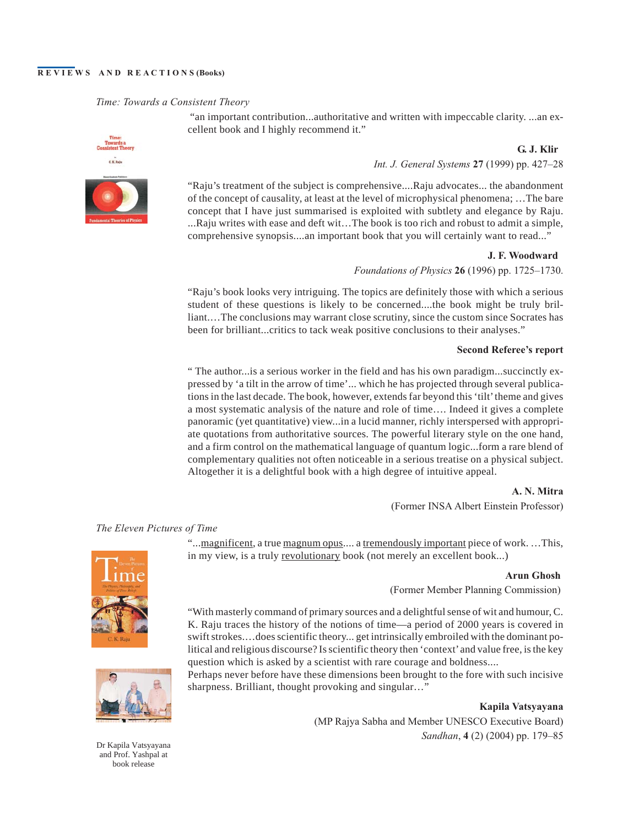### **REVIEWS AND REACTIONS (Books)**

### *Time: Towards a Consistent Theory*

"an important contribution...authoritative and written with impeccable clarity. ...an excellent book and I highly recommend it."

> **G. J. Klir** *Int. J. General Systems* **27** (1999) pp. 427–28

"Raju's treatment of the subject is comprehensive....Raju advocates... the abandonment of the concept of causality, at least at the level of microphysical phenomena; …The bare concept that I have just summarised is exploited with subtlety and elegance by Raju. ...Raju writes with ease and deft wit…The book is too rich and robust to admit a simple, comprehensive synopsis....an important book that you will certainly want to read..."

> **J. F. Woodward** *Foundations of Physics* **26** (1996) pp. 1725–1730.

"Raju's book looks very intriguing. The topics are definitely those with which a serious student of these questions is likely to be concerned....the book might be truly brilliant.…The conclusions may warrant close scrutiny, since the custom since Socrates has been for brilliant...critics to tack weak positive conclusions to their analyses."

### **Second Referee's report**

" The author...is a serious worker in the field and has his own paradigm...succinctly expressed by 'a tilt in the arrow of time'... which he has projected through several publications in the last decade. The book, however, extends far beyond this 'tilt' theme and gives a most systematic analysis of the nature and role of time…. Indeed it gives a complete panoramic (yet quantitative) view...in a lucid manner, richly interspersed with appropriate quotations from authoritative sources. The powerful literary style on the one hand, and a firm control on the mathematical language of quantum logic...form a rare blend of complementary qualities not often noticeable in a serious treatise on a physical subject. Altogether it is a delightful book with a high degree of intuitive appeal.

> **A. N. Mitra** (Former INSA Albert Einstein Professor)

### *The Eleven Pictures of Time*

"...magnificent, a true magnum opus.... a tremendously important piece of work. ...This, in my view, is a truly revolutionary book (not merely an excellent book...)

#### **Arun Ghosh**

(Former Member Planning Commission)

"With masterly command of primary sources and a delightful sense of wit and humour, C. K. Raju traces the history of the notions of time—a period of 2000 years is covered in swift strokes.…does scientific theory... get intrinsically embroiled with the dominant political and religious discourse? Is scientific theory then 'context'and value free, is the key question which is asked by a scientist with rare courage and boldness....

Perhaps never before have these dimensions been brought to the fore with such incisive sharpness. Brilliant, thought provoking and singular…"

> **Kapila Vatsyayana** (MP Rajya Sabha and Member UNESCO Executive Board) *Sandhan*, **4** (2) (2004) pp. 179–85



Dr Kapila Vatsyayana and Prof. Yashpal at book release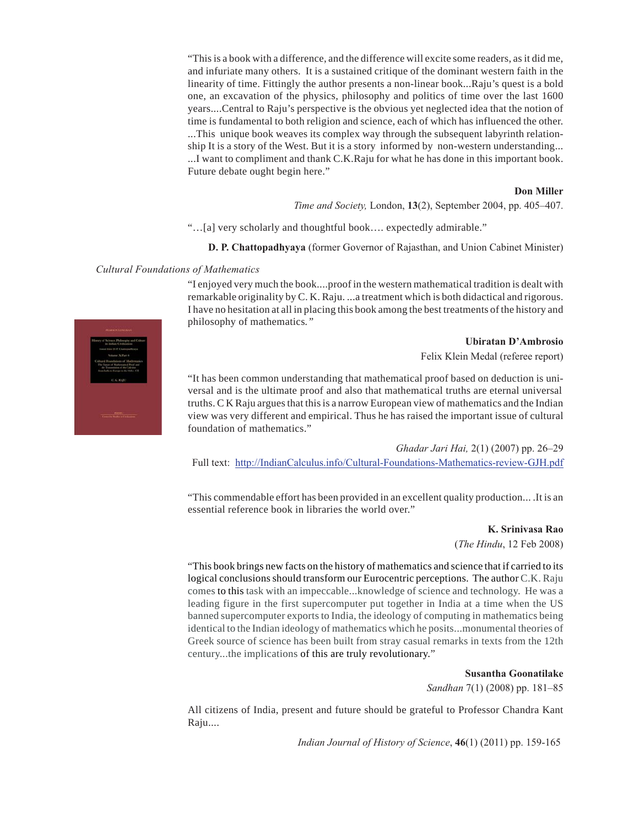"This is a book with a difference, and the difference will excite some readers, as it did me, and infuriate many others. It is a sustained critique of the dominant western faith in the linearity of time. Fittingly the author presents a non-linear book...Raju's quest is a bold one, an excavation of the physics, philosophy and politics of time over the last 1600 years....Central to Raju's perspective is the obvious yet neglected idea that the notion of time is fundamental to both religion and science, each of which has influenced the other. ...This unique book weaves its complex way through the subsequent labyrinth relationship It is a story of the West. But it is a story informed by non-western understanding... ...I want to compliment and thank C.K.Raju for what he has done in this important book. Future debate ought begin here."

#### **Don Miller**

*Time and Society,* London, **13**(2), September 2004, pp. 405–407.

"…[a] very scholarly and thoughtful book…. expectedly admirable."

**D. P. Chattopadhyaya** (former Governor of Rajasthan, and Union Cabinet Minister)

### *Cultural Foundations of Mathematics*

"I enjoyed very much the book....proof in the western mathematical tradition is dealt with remarkable originality by C. K. Raju. ...a treatment which is both didactical and rigorous. I have no hesitation at all in placing this book among the best treatments of the history and philosophy of mathematics*."*

### **Ubiratan D'Ambrosio**

Felix Klein Medal (referee report)

"It has been common understanding that mathematical proof based on deduction is universal and is the ultimate proof and also that mathematical truths are eternal universal truths. C K Raju argues that this is a narrow European view of mathematics and the Indian view was very different and empirical. Thus he has raised the important issue of cultural foundation of mathematics."

*Ghadar Jari Hai,* 2(1) (2007) pp. 26–29

Full text: <http://IndianCalculus.info/Cultural-Foundations-Mathematics-review-GJH.pdf>

"This commendable effort has been provided in an excellent quality production... .It is an essential reference book in libraries the world over."

> **K. Srinivasa Rao** (*The Hindu*, 12 Feb 2008)

"This book brings new facts on the history of mathematics and science that if carried to its logical conclusions should transform our Eurocentric perceptions. The author C.K. Raju comes to this task with an impeccable...knowledge of science and technology. He was a leading figure in the first supercomputer put together in India at a time when the US banned supercomputer exports to India, the ideology of computing in mathematics being identical to the Indian ideology of mathematics which he posits...monumental theories of Greek source of science has been built from stray casual remarks in texts from the 12th century...the implications of this are truly revolutionary."

**Susantha Goonatilake**

*Sandhan* 7(1) (2008) pp. 181–85

All citizens of India, present and future should be grateful to Professor Chandra Kant Raju....

*Indian Journal of History of Science*, **46**(1) (2011) pp. 159-165

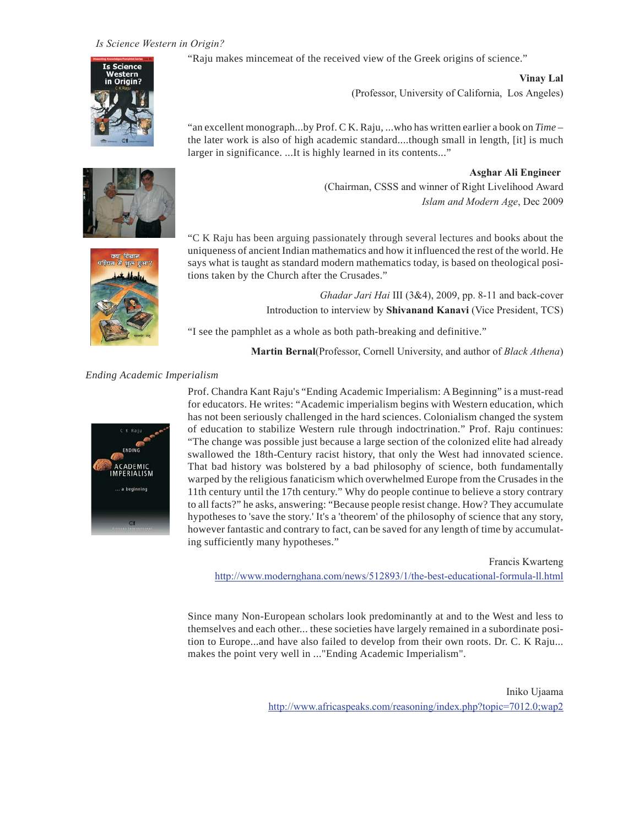# *Is Science Western in Origin?*

"Raju makes mincemeat of the received view of the Greek origins of science."



**Vinay Lal** (Professor, University of California, Los Angeles)

"an excellent monograph...by Prof. C K. Raju, ...who has written earlier a book on *Time* – the later work is also of high academic standard....though small in length, [it] is much larger in significance. ...It is highly learned in its contents..."

> **Asghar Ali Engineer** (Chairman, CSSS and winner of Right Livelihood Award *Islam and Modern Age*, Dec 2009



"C K Raju has been arguing passionately through several lectures and books about the uniqueness of ancient Indian mathematics and how it influenced the rest of the world. He says what is taught as standard modern mathematics today, is based on theological positions taken by the Church after the Crusades."

> *Ghadar Jari Hai* III (3&4), 2009, pp. 8-11 and back-cover Introduction to interview by **Shivanand Kanavi** (Vice President, TCS)

"I see the pamphlet as a whole as both path-breaking and definitive."

**Martin Bernal**(Professor, Cornell University, and author of *Black Athena*)

## *Ending Academic Imperialism*



Prof. Chandra Kant Raju's "Ending Academic Imperialism: ABeginning" is a must-read for educators. He writes: "Academic imperialism begins with Western education, which has not been seriously challenged in the hard sciences. Colonialism changed the system of education to stabilize Western rule through indoctrination." Prof. Raju continues: "The change was possible just because a large section of the colonized elite had already swallowed the 18th-Century racist history, that only the West had innovated science. That bad history was bolstered by a bad philosophy of science, both fundamentally warped by the religious fanaticism which overwhelmed Europe from the Crusades in the 11th century until the 17th century." Why do people continue to believe a story contrary to all facts?" he asks, answering: "Because people resist change. How? They accumulate hypotheses to 'save the story.' It's a 'theorem' of the philosophy of science that any story, however fantastic and contrary to fact, can be saved for any length of time by accumulating sufficiently many hypotheses."

Francis Kwarteng <http://www.modernghana.com/news/512893/1/the-best-educational-formula-ll.html>

Since many Non-European scholars look predominantly at and to the West and less to themselves and each other... these societies have largely remained in a subordinate position to Europe...and have also failed to develop from their own roots. Dr. C. K Raju... makes the point very well in ..."Ending Academic Imperialism".